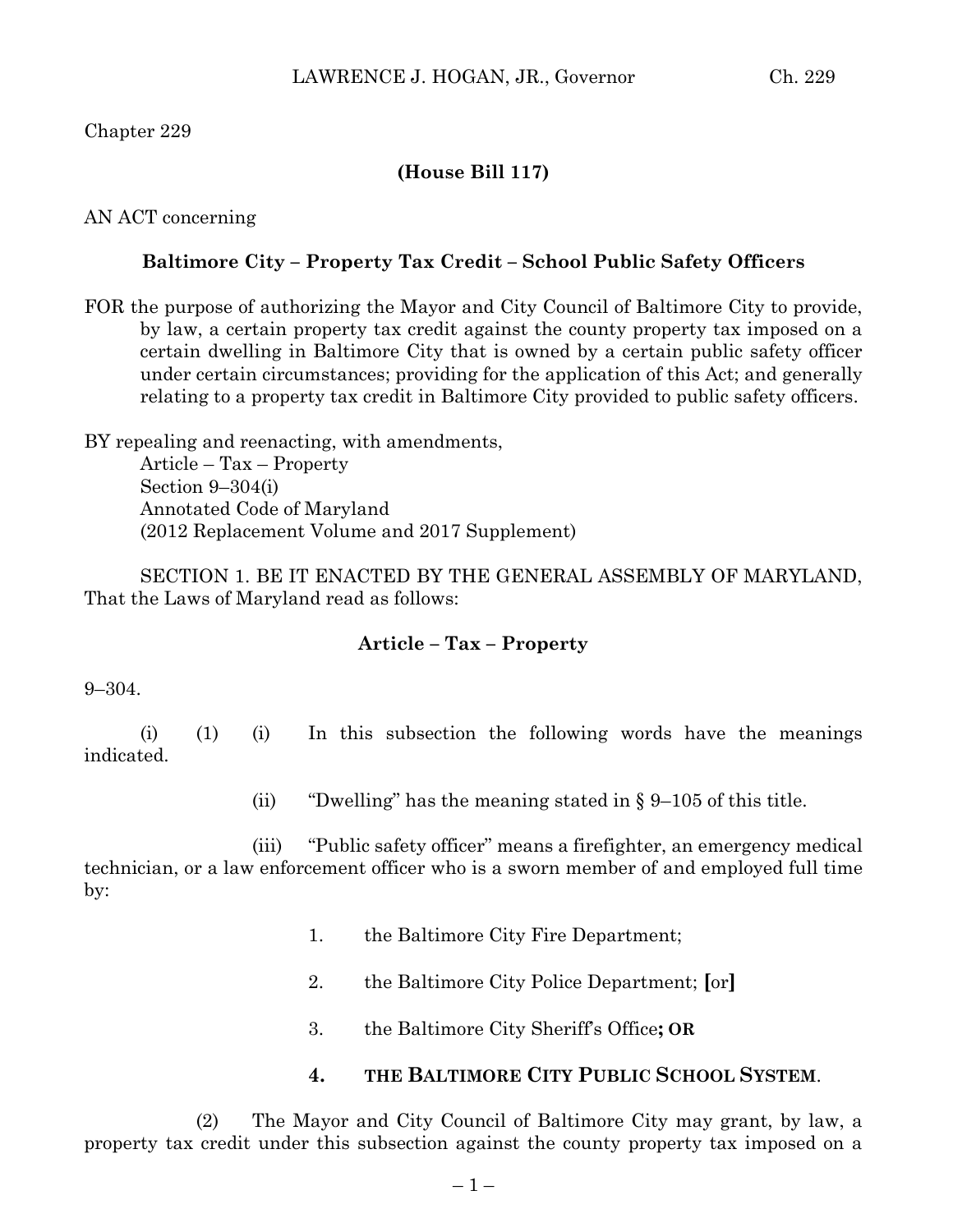Chapter 229

## **(House Bill 117)**

AN ACT concerning

## **Baltimore City – Property Tax Credit – School Public Safety Officers**

FOR the purpose of authorizing the Mayor and City Council of Baltimore City to provide, by law, a certain property tax credit against the county property tax imposed on a certain dwelling in Baltimore City that is owned by a certain public safety officer under certain circumstances; providing for the application of this Act; and generally relating to a property tax credit in Baltimore City provided to public safety officers.

BY repealing and reenacting, with amendments, Article – Tax – Property Section 9–304(i) Annotated Code of Maryland (2012 Replacement Volume and 2017 Supplement)

SECTION 1. BE IT ENACTED BY THE GENERAL ASSEMBLY OF MARYLAND, That the Laws of Maryland read as follows:

## **Article – Tax – Property**

9–304.

(i) (1) (i) In this subsection the following words have the meanings indicated.

(ii) "Dwelling" has the meaning stated in  $\S 9-105$  of this title.

(iii) "Public safety officer" means a firefighter, an emergency medical technician, or a law enforcement officer who is a sworn member of and employed full time by:

- 1. the Baltimore City Fire Department;
- 2. the Baltimore City Police Department; **[**or**]**
- 3. the Baltimore City Sheriff's Office**; OR**

## **4. THE BALTIMORE CITY PUBLIC SCHOOL SYSTEM**.

(2) The Mayor and City Council of Baltimore City may grant, by law, a property tax credit under this subsection against the county property tax imposed on a